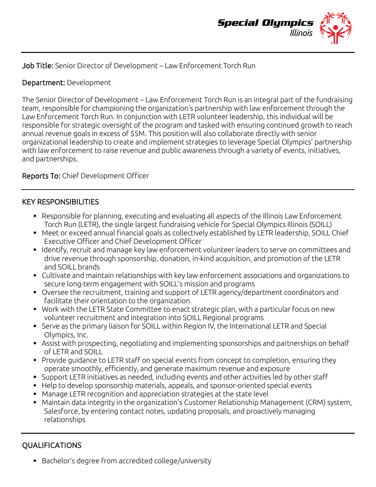

Job Title: Senior Director of Development – Law Enforcement Torch Run

## Department: Development

The Senior Director of Development – Law Enforcement Torch Run is an integral part of the fundraising team, responsible for championing the organization's partnership with law enforcement through the Law Enforcement Torch Run. In conjunction with LETR volunteer leadership, this individual will be responsible for strategic oversight of the program and tasked with ensuring continued growth to reach annual revenue goals in excess of \$5M. This position will also collaborate directly with senior organizational leadership to create and implement strategies to leverage Special Olympics' partnership with law enforcement to raise revenue and public awareness through a variety of events, initiatives, and partnerships.

## Reports To: Chief Development Officer

## KEY RESPONSIBILITIES

- Responsible for planning, executing and evaluating all aspects of the Illinois Law Enforcement Torch Run (LETR), the single largest fundraising vehicle for Special Olympics Illinois (SOILL)
- Meet or exceed annual financial goals as collectively established by LETR leadership, SOILL Chief Executive Officer and Chief Development Officer
- Identify, recruit and manage key law enforcement volunteer leaders to serve on committees and drive revenue through sponsorship, donation, in-kind acquisition, and promotion of the LETR and SOILL brands
- Cultivate and maintain relationships with key law enforcement associations and organizations to secure long-term engagement with SOILL's mission and programs
- Oversee the recruitment, training and support of LETR agency/department coordinators and facilitate their orientation to the organization
- Work with the LETR State Committee to enact strategic plan, with a particular focus on new volunteer recruitment and integration into SOILL Regional programs
- Serve as the primary liaison for SOILL within Region IV, the International LETR and Special Olympics, Inc.
- Assist with prospecting, negotiating and implementing sponsorships and partnerships on behalf of LETR and SOILL
- Provide guidance to LETR staff on special events from concept to completion, ensuring they operate smoothly, efficiently, and generate maximum revenue and exposure
- Support LETR initiatives as needed, including events and other activities led by other staff
- Help to develop sponsorship materials, appeals, and sponsor-oriented special events
- Manage LETR recognition and appreciation strategies at the state level
- Maintain data integrity in the organization's Customer Relationship Management (CRM) system, Salesforce, by entering contact notes, updating proposals, and proactively managing relationships

# QUALIFICATIONS

Bachelor's degree from accredited college/university